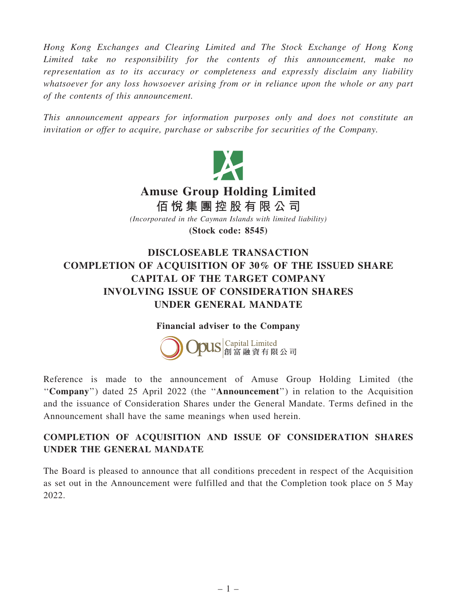Hong Kong Exchanges and Clearing Limited and The Stock Exchange of Hong Kong Limited take no responsibility for the contents of this announcement, make no representation as to its accuracy or completeness and expressly disclaim any liability whatsoever for any loss howsoever arising from or in reliance upon the whole or any part of the contents of this announcement.

This announcement appears for information purposes only and does not constitute an invitation or offer to acquire, purchase or subscribe for securities of the Company.



## COMPLETION OF ACQUISITION OF 30% OF THE ISSUED SHARE CAPITAL OF THE TARGET COMPANY INVOLVING ISSUE OF CONSIDERATION SHARES UNDER GENERAL MANDATE

## Financial adviser to the Company



Reference is made to the announcement of Amuse Group Holding Limited (the ''Company'') dated 25 April 2022 (the ''Announcement'') in relation to the Acquisition and the issuance of Consideration Shares under the General Mandate. Terms defined in the Announcement shall have the same meanings when used herein.

## COMPLETION OF ACQUISITION AND ISSUE OF CONSIDERATION SHARES UNDER THE GENERAL MANDATE

The Board is pleased to announce that all conditions precedent in respect of the Acquisition as set out in the Announcement were fulfilled and that the Completion took place on 5 May 2022.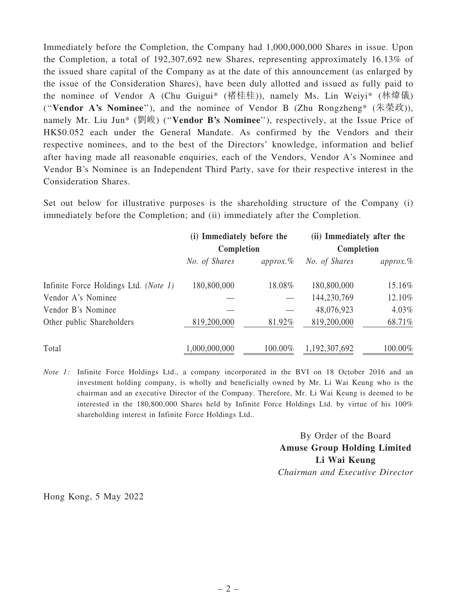Immediately before the Completion, the Company had 1,000,000,000 Shares in issue. Upon the Completion, a total of 192,307,692 new Shares, representing approximately 16.13% of the issued share capital of the Company as at the date of this announcement (as enlarged by the issue of the Consideration Shares), have been duly allotted and issued as fully paid to the nominee of Vendor A (Chu Guigui\* (褚桂桂)), namely Ms. Lin Weiyi\* (林煒儀) ("Vendor A's Nominee"), and the nominee of Vendor B (Zhu Rongzheng\*  $(\text{\#}\text{#}y)$ ), namely Mr. Liu Jun<sup>\*</sup> (劉峻) ("**Vendor B's Nominee**"), respectively, at the Issue Price of HK\$0.052 each under the General Mandate. As confirmed by the Vendors and their respective nominees, and to the best of the Directors' knowledge, information and belief after having made all reasonable enquiries, each of the Vendors, Vendor A's Nominee and Vendor B's Nominee is an Independent Third Party, save for their respective interest in the Consideration Shares.

Set out below for illustrative purposes is the shareholding structure of the Company (i) immediately before the Completion; and (ii) immediately after the Completion.

|                                       | (i) Immediately before the<br>Completion |              | (ii) Immediately after the<br>Completion |              |
|---------------------------------------|------------------------------------------|--------------|------------------------------------------|--------------|
|                                       | No. of Shares                            | $approx. \%$ | No. of Shares                            | $approx. \%$ |
| Infinite Force Holdings Ltd. (Note 1) | 180,800,000                              | 18.08%       | 180,800,000                              | 15.16%       |
| Vendor A's Nominee                    |                                          |              | 144,230,769                              | 12.10%       |
| Vendor B's Nominee                    |                                          |              | 48,076,923                               | 4.03%        |
| Other public Shareholders             | 819,200,000                              | 81.92%       | 819,200,000                              | 68.71%       |
| Total                                 | 1,000,000,000                            | 100.00%      | 1, 192, 307, 692                         | 100.00%      |

Note 1: Infinite Force Holdings Ltd., a company incorporated in the BVI on 18 October 2016 and an investment holding company, is wholly and beneficially owned by Mr. Li Wai Keung who is the chairman and an executive Director of the Company. Therefore, Mr. Li Wai Keung is deemed to be interested in the 180,800,000 Shares held by Infinite Force Holdings Ltd. by virtue of his 100% shareholding interest in Infinite Force Holdings Ltd..

> By Order of the Board Amuse Group Holding Limited Li Wai Keung Chairman and Executive Director

Hong Kong, 5 May 2022